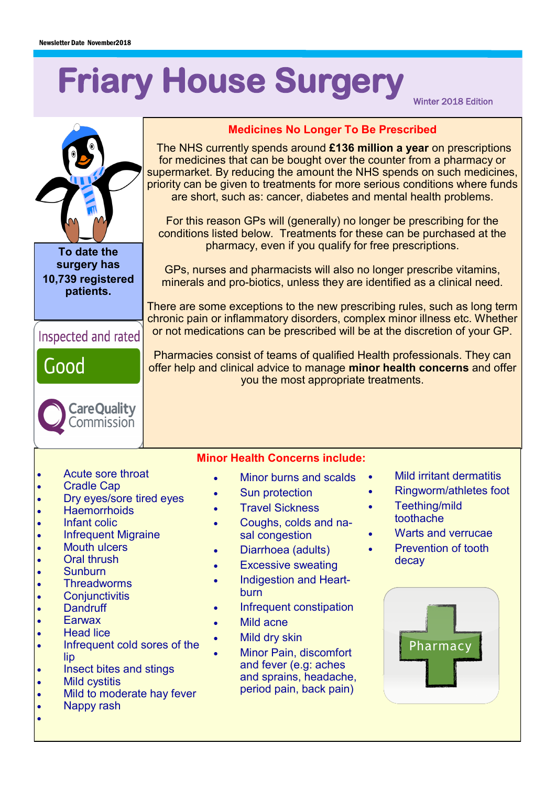# **Friary House Surgery**

Winter 2018 Edition

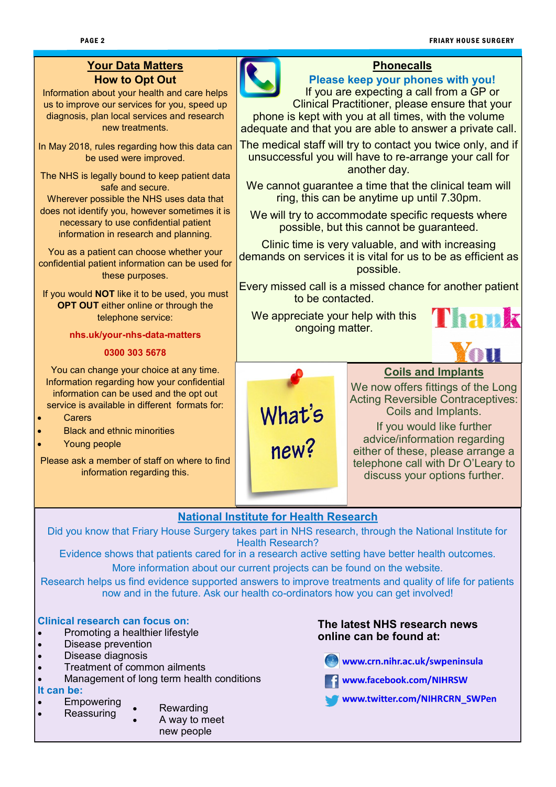# **Your Data Matters How to Opt Out**

Information about your health and care helps us to improve our services for you, speed up diagnosis, plan local services and research new treatments.

In May 2018, rules regarding how this data can be used were improved.

The NHS is legally bound to keep patient data safe and secure.

Wherever possible the NHS uses data that does not identify you, however sometimes it is necessary to use confidential patient information in research and planning.

You as a patient can choose whether your confidential patient information can be used for these purposes.

If you would **NOT** like it to be used, you must **OPT OUT** either online or through the telephone service:

#### **nhs.uk/your-nhs-data-matters**

#### **0300 303 5678**

You can change your choice at any time. Information regarding how your confidential information can be used and the opt out service is available in different formats for:

- **Carers**
- Black and ethnic minorities
- Young people

Please ask a member of staff on where to find information regarding this.



#### **Phonecalls**

# **Please keep your phones with you!**

If you are expecting a call from a GP or Clinical Practitioner, please ensure that your phone is kept with you at all times, with the volume adequate and that you are able to answer a private call.

The medical staff will try to contact you twice only, and if unsuccessful you will have to re-arrange your call for another day.

We cannot quarantee a time that the clinical team will ring, this can be anytime up until 7.30pm.

We will try to accommodate specific requests where possible, but this cannot be guaranteed.

Clinic time is very valuable, and with increasing demands on services it is vital for us to be as efficient as possible.

Every missed call is a missed chance for another patient to be contacted.

We appreciate your help with this ongoing matter.





# **Coils and Implants**

We now offers fittings of the Long Acting Reversible Contraceptives: Coils and Implants. If you would like further advice/information regarding either of these, please arrange a telephone call with Dr O'Leary to discuss your options further.

# **National Institute for Health Research**

Did you know that Friary House Surgery takes part in NHS research, through the National Institute for Health Research?

Evidence shows that patients cared for in a research active setting have better health outcomes. More information about our current projects can be found on the website.

Research helps us find evidence supported answers to improve treatments and quality of life for patients now and in the future. Ask our health co-ordinators how you can get involved!

#### **Clinical research can focus on:**

- Promoting a healthier lifestyle
- Disease prevention
- Disease diagnosis
- Treatment of common ailments
- Management of long term health conditions

#### **It can be:**

- **Empowering Reassuring**
- **Rewarding** 
	- A way to meet new people

#### **The latest NHS research news online can be found at:**

www.crn.nihr.ac.uk/swpeninsula



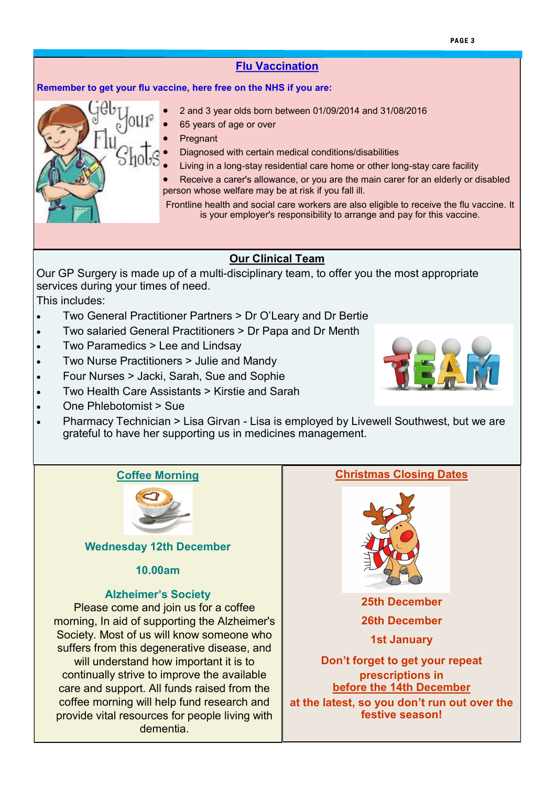#### **Flu Vaccination**

#### **Remember to get your flu vaccine, here free on the NHS if you are:**

- 
- 2 and 3 year olds born between 01/09/2014 and 31/08/2016
- 65 years of age or over
- **Pregnant**
- Diagnosed with certain medical conditions/disabilities
- Living in a long-stay residential care home or other long-stay care facility
- Receive a carer's allowance, or you are the main carer for an elderly or disabled person whose welfare may be at risk if you fall ill.

Frontline health and social care workers are also eligible to receive the flu vaccine. It is your employer's responsibility to arrange and pay for this vaccine.

#### **Our Clinical Team**

Our GP Surgery is made up of a multi-disciplinary team, to offer you the most appropriate services during your times of need.

This includes:

- Two General Practitioner Partners > Dr O'Leary and Dr Bertie
- Two salaried General Practitioners > Dr Papa and Dr Menth
- Two Paramedics > Lee and Lindsay
- Two Nurse Practitioners > Julie and Mandy
- Four Nurses > Jacki, Sarah, Sue and Sophie
- Two Health Care Assistants > Kirstie and Sarah
- One Phlebotomist > Sue
- Pharmacy Technician > Lisa Girvan Lisa is employed by Livewell Southwest, but we are grateful to have her supporting us in medicines management.

#### **Coffee Morning**



#### **Wednesday 12th December**

#### **10.00am**

#### **Alzheimer's Society**

Please come and join us for a coffee morning, In aid of supporting the Alzheimer's Society. Most of us will know someone who suffers from this degenerative disease, and will understand how important it is to continually strive to improve the available care and support. All funds raised from the coffee morning will help fund research and provide vital resources for people living with dementia.

# **Christmas Closing Dates**



**25th December 26th December 1st January** 

**Don't forget to get your repeat prescriptions in before the 14th December at the latest, so you don't run out over the festive season!**